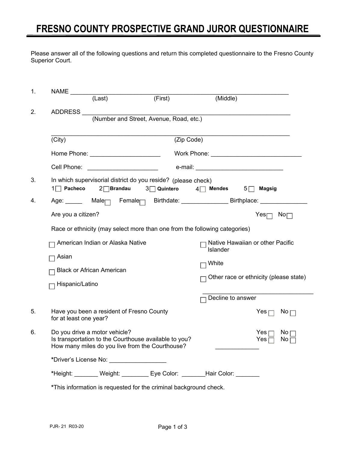## **FRESNO COUNTY PROSPECTIVE GRAND JUROR QUESTIONNAIRE**

Please answer all of the following questions and return this completed questionnaire to the Fresno County Superior Court.

| 1. | <b>NAME</b>                                                       |                                                                            |                                                                                                          |                                          |                                                                                |  |  |  |  |  |  |
|----|-------------------------------------------------------------------|----------------------------------------------------------------------------|----------------------------------------------------------------------------------------------------------|------------------------------------------|--------------------------------------------------------------------------------|--|--|--|--|--|--|
|    |                                                                   | $(\overline{\text{Last}})$                                                 | (First)                                                                                                  | (Middle)                                 |                                                                                |  |  |  |  |  |  |
| 2. | ADDRESS                                                           |                                                                            |                                                                                                          |                                          |                                                                                |  |  |  |  |  |  |
|    | (Number and Street, Avenue, Road, etc.)                           |                                                                            |                                                                                                          |                                          |                                                                                |  |  |  |  |  |  |
|    | (City)<br>(Zip Code)                                              |                                                                            |                                                                                                          |                                          |                                                                                |  |  |  |  |  |  |
|    |                                                                   |                                                                            |                                                                                                          |                                          |                                                                                |  |  |  |  |  |  |
|    |                                                                   |                                                                            |                                                                                                          |                                          |                                                                                |  |  |  |  |  |  |
|    | Cell Phone:                                                       | <u> 1990 - Johann Barbara, martin a</u>                                    |                                                                                                          | e-mail: ________________________________ |                                                                                |  |  |  |  |  |  |
| 3. | 1□ Pacheco                                                        | $2\Box$ Brandau                                                            | In which supervisorial district do you reside? (please check)<br>3 <sup>O</sup> Quintero                 | $4 \square$ Mendes $5 \square$ Magsig    |                                                                                |  |  |  |  |  |  |
| 4. | Age: Male <sub>□</sub> Female□ Birthdate: Birtholace: Birthplace: |                                                                            |                                                                                                          |                                          |                                                                                |  |  |  |  |  |  |
|    | Are you a citizen?                                                |                                                                            |                                                                                                          |                                          | Yes $\Box$ No $\Box$                                                           |  |  |  |  |  |  |
|    |                                                                   | Race or ethnicity (may select more than one from the following categories) |                                                                                                          |                                          |                                                                                |  |  |  |  |  |  |
|    |                                                                   | American Indian or Alaska Native                                           |                                                                                                          | Islander                                 | Native Hawaiian or other Pacific                                               |  |  |  |  |  |  |
|    | Asian                                                             |                                                                            |                                                                                                          | White                                    |                                                                                |  |  |  |  |  |  |
|    |                                                                   | <b>Black or African American</b>                                           |                                                                                                          |                                          | Other race or ethnicity (please state)                                         |  |  |  |  |  |  |
|    | Hispanic/Latino                                                   |                                                                            |                                                                                                          |                                          |                                                                                |  |  |  |  |  |  |
|    |                                                                   |                                                                            |                                                                                                          |                                          | Decline to answer                                                              |  |  |  |  |  |  |
| 5. | for at least one year?                                            | Have you been a resident of Fresno County                                  |                                                                                                          |                                          | Yes $\Box$<br>$\mathsf{No} \sqcap$                                             |  |  |  |  |  |  |
| 6. |                                                                   | Do you drive a motor vehicle?                                              | Is transportation to the Courthouse available to you?<br>How many miles do you live from the Courthouse? |                                          | Yes $\sqsubset$<br>$\mathsf{No}\,\Gamma$<br>Yes $\Box$<br>$\mathsf{No} \sqcap$ |  |  |  |  |  |  |
|    |                                                                   | *Driver's License No: ___________________                                  |                                                                                                          |                                          |                                                                                |  |  |  |  |  |  |
|    |                                                                   |                                                                            | *Height: ________ Weight: ________ Eye Color: _______Hair Color: _______                                 |                                          |                                                                                |  |  |  |  |  |  |
|    | *This information is requested for the criminal background check. |                                                                            |                                                                                                          |                                          |                                                                                |  |  |  |  |  |  |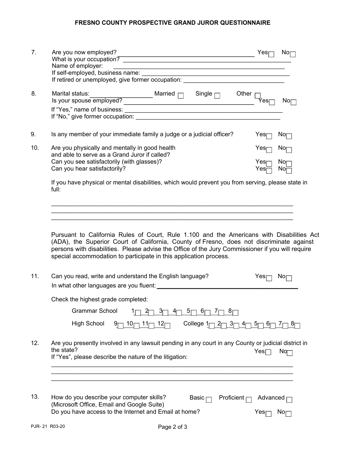## **FRESNO COUNTY PROSPECTIVE GRAND JUROR QUESTIONNAIRE**

| 7.            | Are you now employed?<br><u> 1989 - Johann Stoff, Amerikaansk politiker (</u><br>What is your occupation?<br>Name of employer:<br><u> 1989 - Johann Harry Harry Harry Harry Harry Harry Harry Harry Harry Harry Harry Harry Harry Harry Harry Harry</u><br>If retired or unemployed, give former occupation: ______________________________                                                                                | Yesr                            | Nor                     |
|---------------|----------------------------------------------------------------------------------------------------------------------------------------------------------------------------------------------------------------------------------------------------------------------------------------------------------------------------------------------------------------------------------------------------------------------------|---------------------------------|-------------------------|
| 8.            | Other                                                                                                                                                                                                                                                                                                                                                                                                                      | Yes⊓                            | Nor                     |
| 9.            | Is any member of your immediate family a judge or a judicial officer?                                                                                                                                                                                                                                                                                                                                                      | Yesr                            | No⊓                     |
| 10.           | Are you physically and mentally in good health<br>and able to serve as a Grand Juror if called?<br>Can you see satisfactorily (with glasses)?<br>Can you hear satisfactorily?                                                                                                                                                                                                                                              | Yesr<br>Yes<br>Yes <sub>l</sub> | No⊓<br>Nor<br>Nor       |
|               | If you have physical or mental disabilities, which would prevent you from serving, please state in<br>full:                                                                                                                                                                                                                                                                                                                |                                 |                         |
| 11.           | Pursuant to California Rules of Court, Rule 1.100 and the Americans with Disabilities Act<br>(ADA), the Superior Court of California, County of Fresno, does not discriminate against<br>persons with disabilities. Please advise the Office of the Jury Commissioner if you will require<br>special accommodation to participate in this application process.<br>Can you read, write and understand the English language? | Yes                             | $\mathsf{No}_{\square}$ |
|               | Check the highest grade completed:                                                                                                                                                                                                                                                                                                                                                                                         |                                 |                         |
|               | <b>Grammar School</b><br>5 <sub>1</sub><br>6 <sub>1</sub><br>4ſ<br>୪୮<br><b>High School</b><br>College $1_{\square}$<br>12 $\vdash$<br>$3\Box$ $4\Box$ $5\Box$ $6\Box$ $7\Box$ $8\Box$<br>10 <sub>1</sub><br>11 $\mathsf{L}$<br>רו2 ו                                                                                                                                                                                      |                                 |                         |
| 12.           | Are you presently involved in any lawsuit pending in any court in any County or judicial district in<br>the state?<br>If "Yes", please describe the nature of the litigation:                                                                                                                                                                                                                                              | $Yes \Box$                      | Nq                      |
| 13.           | How do you describe your computer skills?<br>Basic $\Box$<br>Proficient $\Gamma$<br>(Microsoft Office, Email and Google Suite)<br>Do you have access to the Internet and Email at home?                                                                                                                                                                                                                                    | Advanced $\Box$<br>Yesr         | No⊓                     |
| PJR-21 R03-20 | Page 2 of 3                                                                                                                                                                                                                                                                                                                                                                                                                |                                 |                         |